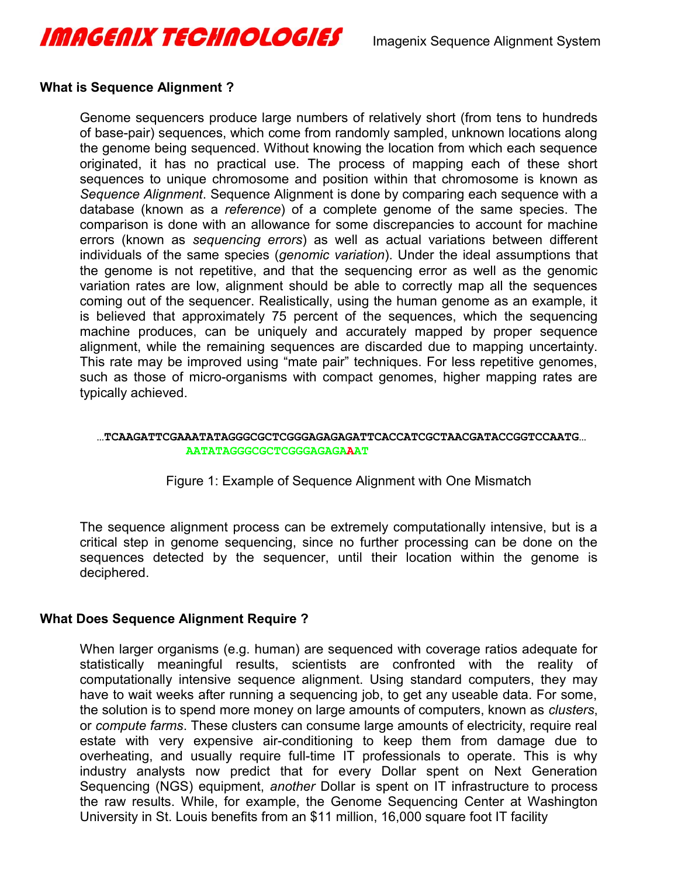

#### **What is Sequence Alignment ?**

Genome sequencers produce large numbers of relatively short (from tens to hundreds of base-pair) sequences, which come from randomly sampled, unknown locations along the genome being sequenced. Without knowing the location from which each sequence originated, it has no practical use. The process of mapping each of these short sequences to unique chromosome and position within that chromosome is known as *Sequence Alignment*. Sequence Alignment is done by comparing each sequence with a database (known as a *reference*) of a complete genome of the same species. The comparison is done with an allowance for some discrepancies to account for machine errors (known as *sequencing errors*) as well as actual variations between different individuals of the same species (*genomic variation*). Under the ideal assumptions that the genome is not repetitive, and that the sequencing error as well as the genomic variation rates are low, alignment should be able to correctly map all the sequences coming out of the sequencer. Realistically, using the human genome as an example, it is believed that approximately 75 percent of the sequences, which the sequencing machine produces, can be uniquely and accurately mapped by proper sequence alignment, while the remaining sequences are discarded due to mapping uncertainty. This rate may be improved using "mate pair" techniques. For less repetitive genomes, such as those of micro-organisms with compact genomes, higher mapping rates are typically achieved.

#### **…TCAAGATTCGAAATATAGGGCGCTCGGGAGAGAGATTCACCATCGCTAACGATACCGGTCCAATG… AATATAGGGCGCTCGGGAGAGAAAT**

Figure 1: Example of Sequence Alignment with One Mismatch

The sequence alignment process can be extremely computationally intensive, but is a critical step in genome sequencing, since no further processing can be done on the sequences detected by the sequencer, until their location within the genome is deciphered.

#### **What Does Sequence Alignment Require ?**

When larger organisms (e.g. human) are sequenced with coverage ratios adequate for statistically meaningful results, scientists are confronted with the reality of computationally intensive sequence alignment. Using standard computers, they may have to wait weeks after running a sequencing job, to get any useable data. For some, the solution is to spend more money on large amounts of computers, known as *clusters*, or *compute farms*. These clusters can consume large amounts of electricity, require real estate with very expensive air-conditioning to keep them from damage due to overheating, and usually require full-time IT professionals to operate. This is why industry analysts now predict that for every Dollar spent on Next Generation Sequencing (NGS) equipment, *another* Dollar is spent on IT infrastructure to process the raw results. While, for example, the Genome Sequencing Center at Washington University in St. Louis benefits from an \$11 million, 16,000 square foot IT facility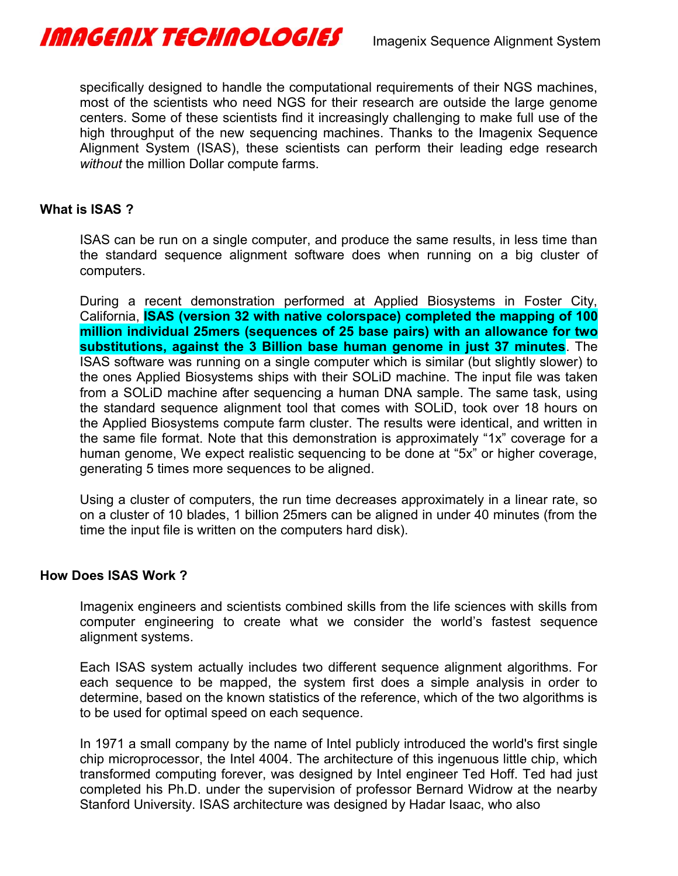

specifically designed to handle the computational requirements of their NGS machines, most of the scientists who need NGS for their research are outside the large genome centers. Some of these scientists find it increasingly challenging to make full use of the high throughput of the new sequencing machines. Thanks to the Imagenix Sequence Alignment System (ISAS), these scientists can perform their leading edge research *without* the million Dollar compute farms.

#### **What is ISAS ?**

ISAS can be run on a single computer, and produce the same results, in less time than the standard sequence alignment software does when running on a big cluster of computers.

During a recent demonstration performed at Applied Biosystems in Foster City, California, **ISAS (version 32 with native colorspace) completed the mapping of 100 million individual 25mers (sequences of 25 base pairs) with an allowance for two substitutions, against the 3 Billion base human genome in just 37 minutes**. The ISAS software was running on a single computer which is similar (but slightly slower) to the ones Applied Biosystems ships with their SOLiD machine. The input file was taken from a SOLiD machine after sequencing a human DNA sample. The same task, using the standard sequence alignment tool that comes with SOLiD, took over 18 hours on the Applied Biosystems compute farm cluster. The results were identical, and written in the same file format. Note that this demonstration is approximately "1x" coverage for a human genome, We expect realistic sequencing to be done at "5x" or higher coverage, generating 5 times more sequences to be aligned.

Using a cluster of computers, the run time decreases approximately in a linear rate, so on a cluster of 10 blades, 1 billion 25mers can be aligned in under 40 minutes (from the time the input file is written on the computers hard disk).

#### **How Does ISAS Work ?**

Imagenix engineers and scientists combined skills from the life sciences with skills from computer engineering to create what we consider the world's fastest sequence alignment systems.

Each ISAS system actually includes two different sequence alignment algorithms. For each sequence to be mapped, the system first does a simple analysis in order to determine, based on the known statistics of the reference, which of the two algorithms is to be used for optimal speed on each sequence.

In 1971 a small company by the name of Intel publicly introduced the world's first single chip microprocessor, the Intel 4004. The architecture of this ingenuous little chip, which transformed computing forever, was designed by Intel engineer Ted Hoff. Ted had just completed his Ph.D. under the supervision of professor Bernard Widrow at the nearby Stanford University. ISAS architecture was designed by Hadar Isaac, who also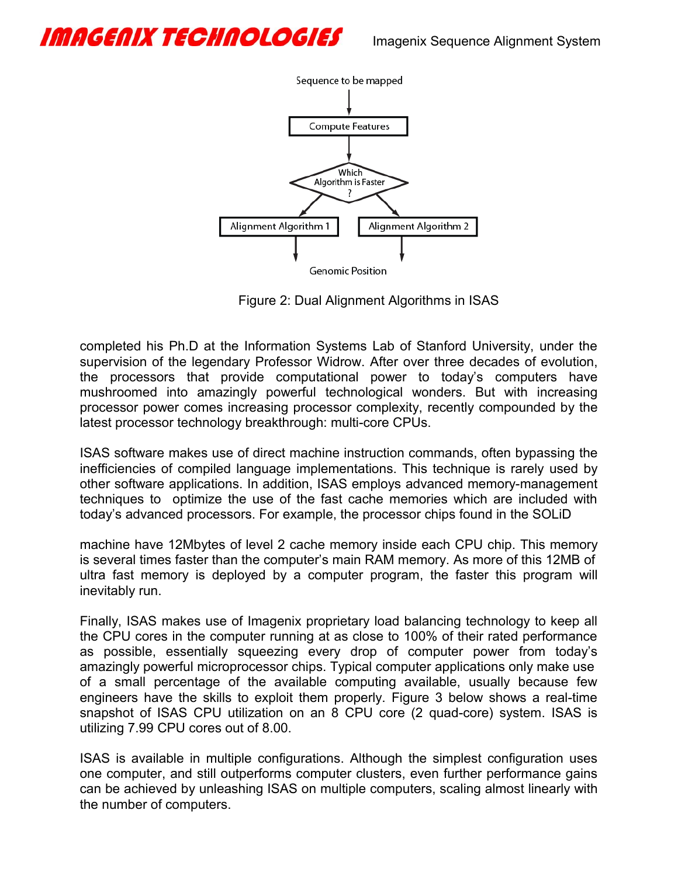## IMAGENIX TECHAOLOGIES almagenix Sequence Alignment System



Figure 2: Dual Alignment Algorithms in ISAS

completed his Ph.D at the Information Systems Lab of Stanford University, under the supervision of the legendary Professor Widrow. After over three decades of evolution, the processors that provide computational power to today's computers have mushroomed into amazingly powerful technological wonders. But with increasing processor power comes increasing processor complexity, recently compounded by the latest processor technology breakthrough: multi-core CPUs.

ISAS software makes use of direct machine instruction commands, often bypassing the inefficiencies of compiled language implementations. This technique is rarely used by other software applications. In addition, ISAS employs advanced memory-management techniques to optimize the use of the fast cache memories which are included with today's advanced processors. For example, the processor chips found in the SOLiD

machine have 12Mbytes of level 2 cache memory inside each CPU chip. This memory is several times faster than the computer's main RAM memory. As more of this 12MB of ultra fast memory is deployed by a computer program, the faster this program will inevitably run.

Finally, ISAS makes use of Imagenix proprietary load balancing technology to keep all the CPU cores in the computer running at as close to 100% of their rated performance as possible, essentially squeezing every drop of computer power from today's amazingly powerful microprocessor chips. Typical computer applications only make use of a small percentage of the available computing available, usually because few engineers have the skills to exploit them properly. Figure 3 below shows a real-time snapshot of ISAS CPU utilization on an 8 CPU core (2 quad-core) system. ISAS is utilizing 7.99 CPU cores out of 8.00.

ISAS is available in multiple configurations. Although the simplest configuration uses one computer, and still outperforms computer clusters, even further performance gains can be achieved by unleashing ISAS on multiple computers, scaling almost linearly with the number of computers.